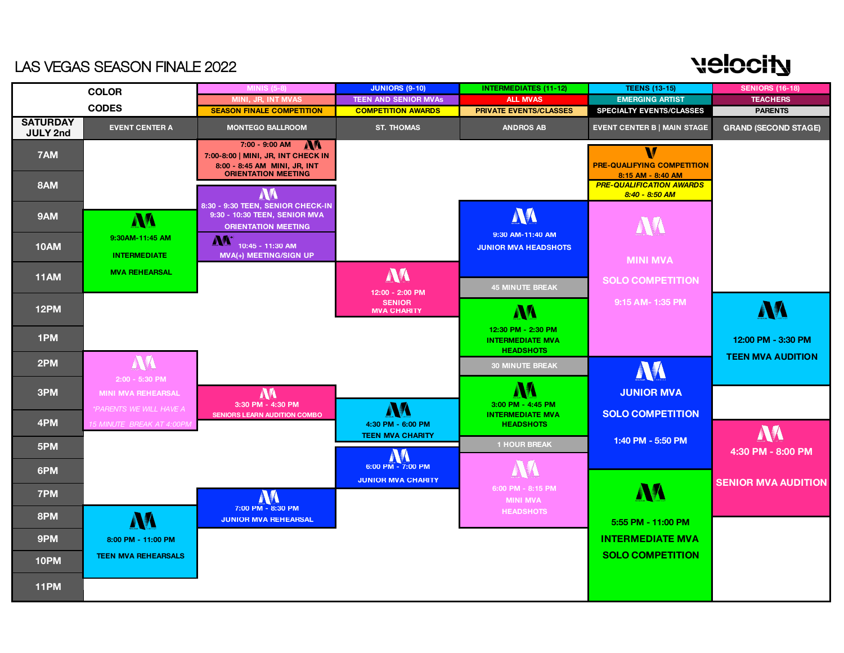## **velocity**

#### LAS VEGAS SEASON FINALE 2022

|                                    | <b>COLOR</b>                                         | <b>MINIS (5-8)</b>                                                                                                 | <b>JUNIORS (9-10)</b>                          | <b>INTERMEDIATES (11-12)</b>                                      | <b>TEENS (13-15)</b>                                        | <b>SENIORS (16-18)</b>                         |
|------------------------------------|------------------------------------------------------|--------------------------------------------------------------------------------------------------------------------|------------------------------------------------|-------------------------------------------------------------------|-------------------------------------------------------------|------------------------------------------------|
|                                    |                                                      | MINI, JR, INT MVAS                                                                                                 | <b>TEEN AND SENIOR MVAs</b>                    | <b>ALL MVAS</b>                                                   | <b>EMERGING ARTIST</b>                                      | <b>TEACHERS</b>                                |
|                                    | <b>CODES</b>                                         | <b>SEASON FINALE COMPETITION</b>                                                                                   | <b>COMPETITION AWARDS</b>                      | <b>PRIVATE EVENTS/CLASSES</b>                                     | <b>SPECIALTY EVENTS/CLASSES</b>                             | <b>PARENTS</b>                                 |
| <b>SATURDAY</b><br><b>JULY 2nd</b> | <b>EVENT CENTER A</b>                                | <b>MONTEGO BALLROOM</b>                                                                                            | <b>ST. THOMAS</b>                              | <b>ANDROS AB</b>                                                  | <b>EVENT CENTER B   MAIN STAGE</b>                          | <b>GRAND (SECOND STAGE)</b>                    |
| 7AM                                |                                                      | 7:00 - 9:00 AM<br>7:00-8:00   MINI, JR, INT CHECK IN<br>8:00 - 8:45 AM MINI, JR, INT<br><b>ORIENTATION MEETING</b> |                                                |                                                                   | V<br><b>PRE-QUALIFYING COMPETITION</b><br>8:15 AM - 8:40 AM |                                                |
| 8AM                                |                                                      | M                                                                                                                  |                                                |                                                                   | <b>PRE-QUALIFICATION AWARDS</b><br>8:40 - 8:50 AM           |                                                |
| 9AM                                | M                                                    | 8:30 - 9:30 TEEN, SENIOR CHECK-IN<br>9:30 - 10:30 TEEN, SENIOR MVA<br><b>ORIENTATION MEETING</b>                   |                                                | M<br>9:30 AM-11:40 AM                                             | AK                                                          |                                                |
| <b>10AM</b>                        | 9:30AM-11:45 AM<br><b>INTERMEDIATE</b>               | <b>NA</b><br>10:45 - 11:30 AM<br><b>MVA(+) MEETING/SIGN UP</b>                                                     |                                                | <b>JUNIOR MVA HEADSHOTS</b>                                       | <b>MINI MVA</b>                                             |                                                |
| 11AM                               | <b>MVA REHEARSAL</b>                                 |                                                                                                                    | M<br>12:00 - 2:00 PM                           | <b>45 MINUTE BREAK</b>                                            | <b>SOLO COMPETITION</b>                                     |                                                |
| 12PM                               |                                                      |                                                                                                                    | <b>SENIOR</b><br><b>MVA CHARITY</b>            | <b>AA</b>                                                         | 9:15 AM-1:35 PM                                             | NA                                             |
| 1PM                                |                                                      |                                                                                                                    |                                                | 12:30 PM - 2:30 PM<br><b>INTERMEDIATE MVA</b><br><b>HEADSHOTS</b> |                                                             | 12:00 PM - 3:30 PM<br><b>TEEN MVA AUDITION</b> |
| 2PM                                | AV<br>2:00 - 5:30 PM                                 |                                                                                                                    |                                                | <b>30 MINUTE BREAK</b>                                            | M                                                           |                                                |
| 3PM                                | <b>MINI MVA REHEARSAL</b><br>*PARENTS WE WILL HAVE A | M<br>3:30 PM - 4:30 PM                                                                                             |                                                | AA<br>3:00 PM - 4:45 PM                                           | <b>JUNIOR MVA</b>                                           |                                                |
| 4PM                                | 15 MINUTE BREAK AT 4:00PM                            | SENIORS LEARN AUDITION COMBO                                                                                       | AA<br>4:30 PM - 6:00 PM                        | <b>INTERMEDIATE MVA</b><br><b>HEADSHOTS</b>                       | <b>SOLO COMPETITION</b>                                     | M                                              |
| 5PM                                |                                                      |                                                                                                                    | <b>TEEN MVA CHARITY</b><br>W                   | <b>1 HOUR BREAK</b>                                               | 1:40 PM - 5:50 PM                                           | 4:30 PM - 8:00 PM                              |
| 6PM                                |                                                      |                                                                                                                    | 6:00 PM - 7:00 PM<br><b>JUNIOR MVA CHARITY</b> |                                                                   |                                                             | <b>SENIOR MVA AUDITION</b>                     |
| 7PM                                |                                                      | AV<br>7:00 PM - 8:30 PM                                                                                            |                                                | 6:00 PM - 8:15 PM<br><b>MINI MVA</b>                              | <b>AA</b>                                                   |                                                |
| 8PM                                | NA                                                   | <b>JUNIOR MVA REHEARSAL</b>                                                                                        |                                                | <b>HEADSHOTS</b>                                                  | 5:55 PM - 11:00 PM                                          |                                                |
| 9PM                                | 8:00 PM - 11:00 PM                                   |                                                                                                                    |                                                |                                                                   | <b>INTERMEDIATE MVA</b>                                     |                                                |
| 10PM                               | <b>TEEN MVA REHEARSALS</b>                           |                                                                                                                    |                                                |                                                                   | <b>SOLO COMPETITION</b>                                     |                                                |
| 11PM                               |                                                      |                                                                                                                    |                                                |                                                                   |                                                             |                                                |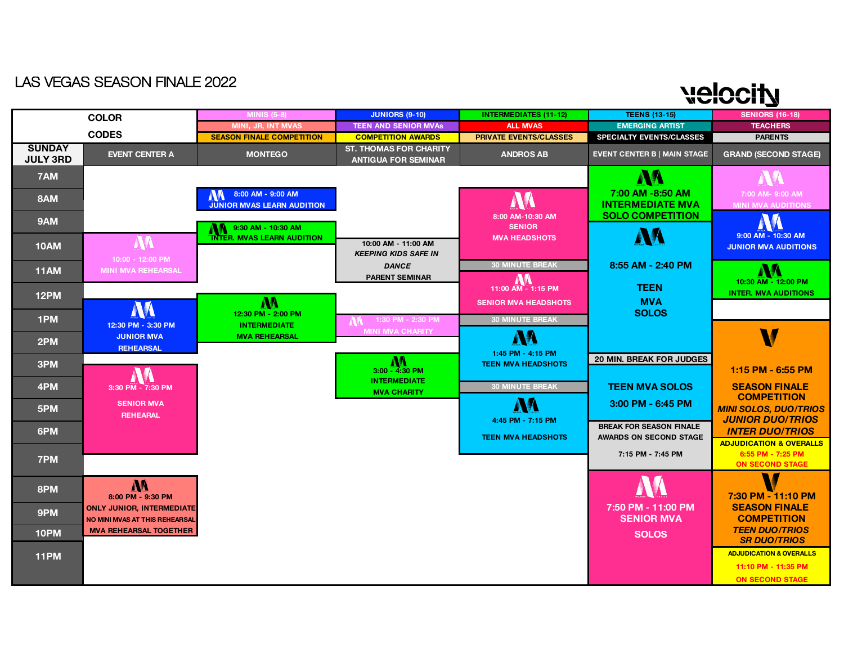# **Nelocity**

|                                  | <b>COLOR</b>                                                       | <b>MINIS (5-8)</b>                                     | <b>JUNIORS (9-10)</b>                                       | <b>INTERMEDIATES (11-12)</b>                      | <b>TEENS (13-15)</b>                                            | <b>SENIORS (16-18)</b>                                                            |
|----------------------------------|--------------------------------------------------------------------|--------------------------------------------------------|-------------------------------------------------------------|---------------------------------------------------|-----------------------------------------------------------------|-----------------------------------------------------------------------------------|
|                                  |                                                                    | MINI, JR, INT MVAS                                     | <b>TEEN AND SENIOR MVAS</b>                                 | <b>ALL MVAS</b>                                   | <b>EMERGING ARTIST</b>                                          | <b>TEACHERS</b>                                                                   |
|                                  | <b>CODES</b>                                                       | <b>SEASON FINALE COMPETITION</b>                       | <b>COMPETITION AWARDS</b>                                   | <b>PRIVATE EVENTS/CLASSES</b>                     | <b>SPECIALTY EVENTS/CLASSES</b>                                 | <b>PARENTS</b>                                                                    |
| <b>SUNDAY</b><br><b>JULY 3RD</b> | <b>EVENT CENTER A</b>                                              | <b>MONTEGO</b>                                         | <b>ST. THOMAS FOR CHARITY</b><br><b>ANTIGUA FOR SEMINAR</b> | <b>ANDROS AB</b>                                  | <b>EVENT CENTER B   MAIN STAGE</b>                              | <b>GRAND (SECOND STAGE)</b>                                                       |
| 7AM                              |                                                                    |                                                        |                                                             |                                                   | AA                                                              |                                                                                   |
| 8AM                              |                                                                    | 8:00 AM - 9:00 AM<br><b>JUNIOR MVAS LEARN AUDITION</b> |                                                             | AA                                                | 7:00 AM -8:50 AM<br><b>INTERMEDIATE MVA</b>                     | 7:00 AM- 9:00 AM<br><b>MINI MVA AUDITIONS</b>                                     |
| 9AM                              |                                                                    | 9:30 AM - 10:30 AM                                     |                                                             | 8:00 AM-10:30 AM<br><b>SENIOR</b>                 | <b>SOLO COMPETITION</b>                                         | <b>AV</b>                                                                         |
| <b>10AM</b>                      | AM                                                                 | <b>INTER. MVAS LEARN AUDITION</b>                      | 10:00 AM - 11:00 AM<br><b>KEEPING KIDS SAFE IN</b>          | <b>MVA HEADSHOTS</b>                              | AM                                                              | 9:00 AM - 10:30 AM<br><b>JUNIOR MVA AUDITIONS</b>                                 |
| <b>11AM</b>                      | 10:00 - 12:00 PM<br><b>MINI MVA REHEARSAL</b>                      |                                                        | <b>DANCE</b><br><b>PARENT SEMINAR</b>                       | <b>30 MINUTE BREAK</b>                            | 8:55 AM - 2:40 PM                                               | AA                                                                                |
| <b>12PM</b>                      |                                                                    | M                                                      |                                                             | 11:00 AM - 1:15 PM<br><b>SENIOR MVA HEADSHOTS</b> | <b>TEEN</b><br><b>MVA</b>                                       | 10:30 AM - 12:00 PM<br><b>INTER. MVA AUDITIONS</b>                                |
| 1PM                              | M<br>12:30 PM - 3:30 PM                                            | 12:30 PM - 2:00 PM<br><b>INTERMEDIATE</b>              | 1:30 PM - 2:30 PM                                           | <b>30 MINUTE BREAK</b>                            | <b>SOLOS</b>                                                    |                                                                                   |
| 2PM                              | <b>JUNIOR MVA</b>                                                  | <b>MVA REHEARSAL</b>                                   | <b>MINI MVA CHARITY</b>                                     | AA                                                |                                                                 | V                                                                                 |
|                                  | <b>REHEARSAL</b>                                                   |                                                        |                                                             | 1:45 PM - 4:15 PM                                 | <b>20 MIN. BREAK FOR JUDGES</b>                                 |                                                                                   |
| 3PM                              |                                                                    |                                                        | <b>MA</b><br>3:00 - 4:30 PM                                 | <b>TEEN MVA HEADSHOTS</b>                         |                                                                 | 1:15 PM - 6:55 PM                                                                 |
| 4PM                              | 3:30 PM - 7:30 PM                                                  |                                                        | <b>INTERMEDIATE</b><br><b>MVA CHARITY</b>                   | <b>30 MINUTE BREAK</b>                            | <b>TEEN MVA SOLOS</b>                                           | <b>SEASON FINALE</b><br><b>COMPETITION</b>                                        |
| 5PM                              | <b>SENIOR MVA</b><br><b>REHEARAL</b>                               |                                                        |                                                             | AA<br>4:45 PM - 7:15 PM                           | $3:00$ PM - $6:45$ PM                                           | <b>MINI SOLOS, DUO/TRIOS</b><br><b>JUNIOR DUO/TRIOS</b>                           |
| 6PM                              |                                                                    |                                                        |                                                             | <b>TEEN MVA HEADSHOTS</b>                         | <b>BREAK FOR SEASON FINALE</b><br><b>AWARDS ON SECOND STAGE</b> | <b>INTER DUO/TRIOS</b>                                                            |
| 7PM                              |                                                                    |                                                        |                                                             |                                                   | 7:15 PM - 7:45 PM                                               | <b>ADJUDICATION &amp; OVERALLS</b><br>6:55 PM - 7:25 PM<br><b>ON SECOND STAGE</b> |
| 8PM                              | M<br>8:00 PM - 9:30 PM                                             |                                                        |                                                             |                                                   |                                                                 | W<br>7:30 PM - 11:10 PM                                                           |
| 9PM                              | <b>ONLY JUNIOR, INTERMEDIATE</b><br>NO MINI MVAS AT THIS REHEARSAL |                                                        |                                                             |                                                   | 7:50 PM - 11:00 PM<br><b>SENIOR MVA</b>                         | <b>SEASON FINALE</b><br><b>COMPETITION</b>                                        |
| 10PM                             | <b>MVA REHEARSAL TOGETHER</b>                                      |                                                        |                                                             |                                                   | <b>SOLOS</b>                                                    | <b>TEEN DUO/TRIOS</b><br><b>SR DUO/TRIOS</b>                                      |
| 11PM                             |                                                                    |                                                        |                                                             |                                                   |                                                                 | <b>ADJUDICATION &amp; OVERALLS</b><br>11:10 PM - 11:35 PM                         |
|                                  |                                                                    |                                                        |                                                             |                                                   |                                                                 | <b>ON SECOND STAGE</b>                                                            |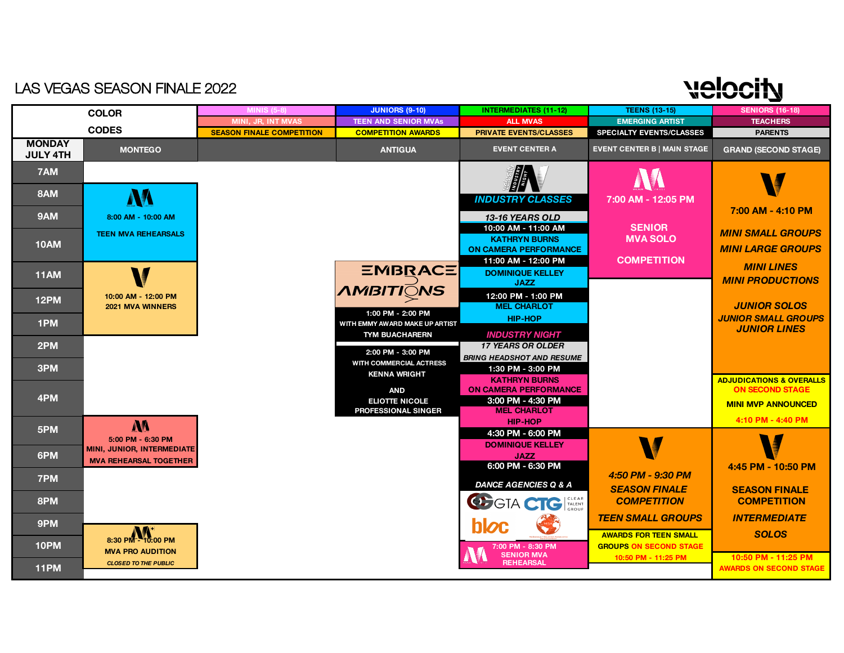| <b>JUNIORS (9-10)</b><br><b>INTERMEDIATES (11-12)</b><br><b>TEENS (13-15)</b><br><b>SENIORS (16-18)</b><br><b>MINIS (5-8)</b><br><b>COLOR</b><br><b>EMERGING ARTIST</b><br>MINI, JR, INT MVAS<br><b>TEEN AND SENIOR MVAs</b><br><b>TEACHERS</b><br><b>ALL MVAS</b><br><b>CODES</b><br><b>SEASON FINALE COMPETITION</b><br><b>COMPETITION AWARDS</b><br><b>PRIVATE EVENTS/CLASSES</b><br><b>SPECIALTY EVENTS/CLASSES</b><br><b>PARENTS</b><br><b>MONDAY</b><br><b>EVENT CENTER B   MAIN STAGE</b><br><b>MONTEGO</b><br><b>ANTIGUA</b><br><b>EVENT CENTER A</b><br><b>JULY 4TH</b><br>7AM<br>8AM<br>AA<br><b>INDUSTRY CLASSES</b><br>7:00 AM - 12:05 PM<br>7:00 AM - 4:10 PM<br>9AM<br>13-16 YEARS OLD<br>8:00 AM - 10:00 AM<br><b>SENIOR</b><br>10:00 AM - 11:00 AM<br><b>MINI SMALL GROUPS</b><br><b>TEEN MVA REHEARSALS</b><br><b>MVA SOLO</b><br><b>KATHRYN BURNS</b><br><b>10AM</b><br><b>MINI LARGE GROUPS</b><br><b>ON CAMERA PERFORMANCE</b><br><b>COMPETITION</b><br>11:00 AM - 12:00 PM<br><b>MINI LINES</b><br><b>EMBRACE</b><br><b>DOMINIQUE KELLEY</b><br>11AM<br><b>MINI PRODUCTIONS</b><br><b>JAZZ</b><br><b>AMBITIONS</b><br>12:00 PM - 1:00 PM<br>10:00 AM - 12:00 PM<br>12PM<br><b>MEL CHARLOT</b><br><b>JUNIOR SOLOS</b><br>2021 MVA WINNERS<br>1:00 PM - 2:00 PM<br><b>JUNIOR SMALL GROUPS</b><br><b>HIP-HOP</b><br>1PM<br>WITH EMMY AWARD MAKE UP ARTIST<br><b>JUNIOR LINES</b><br><b>TYM BUACHARERN</b><br><b>INDUSTRY NIGHT</b><br><b>17 YEARS OR OLDER</b><br>2PM<br>2:00 PM - 3:00 PM<br><b>BRING HEADSHOT AND RESUME</b><br>WITH COMMERCIAL ACTRESS<br>3PM<br>1:30 PM - 3:00 PM<br><b>KENNA WRIGHT</b><br><b>KATHRYN BURNS</b><br><b>ON SECOND STAGE</b><br><b>ON CAMERA PERFORMANCE</b><br><b>AND</b><br>4PM<br>3:00 PM - 4:30 PM<br><b>ELIOTTE NICOLE</b><br><b>MINI MVP ANNOUNCED</b><br><b>MEL CHARLOT</b><br><b>PROFESSIONAL SINGER</b> | <b>LAS VEGAS SEASON FINALE 2022</b> |  |                | يماميد                              |
|----------------------------------------------------------------------------------------------------------------------------------------------------------------------------------------------------------------------------------------------------------------------------------------------------------------------------------------------------------------------------------------------------------------------------------------------------------------------------------------------------------------------------------------------------------------------------------------------------------------------------------------------------------------------------------------------------------------------------------------------------------------------------------------------------------------------------------------------------------------------------------------------------------------------------------------------------------------------------------------------------------------------------------------------------------------------------------------------------------------------------------------------------------------------------------------------------------------------------------------------------------------------------------------------------------------------------------------------------------------------------------------------------------------------------------------------------------------------------------------------------------------------------------------------------------------------------------------------------------------------------------------------------------------------------------------------------------------------------------------------------------------------------------------------------------------------------------------------------------------------|-------------------------------------|--|----------------|-------------------------------------|
|                                                                                                                                                                                                                                                                                                                                                                                                                                                                                                                                                                                                                                                                                                                                                                                                                                                                                                                                                                                                                                                                                                                                                                                                                                                                                                                                                                                                                                                                                                                                                                                                                                                                                                                                                                                                                                                                      |                                     |  |                |                                     |
|                                                                                                                                                                                                                                                                                                                                                                                                                                                                                                                                                                                                                                                                                                                                                                                                                                                                                                                                                                                                                                                                                                                                                                                                                                                                                                                                                                                                                                                                                                                                                                                                                                                                                                                                                                                                                                                                      |                                     |  |                |                                     |
|                                                                                                                                                                                                                                                                                                                                                                                                                                                                                                                                                                                                                                                                                                                                                                                                                                                                                                                                                                                                                                                                                                                                                                                                                                                                                                                                                                                                                                                                                                                                                                                                                                                                                                                                                                                                                                                                      |                                     |  |                |                                     |
|                                                                                                                                                                                                                                                                                                                                                                                                                                                                                                                                                                                                                                                                                                                                                                                                                                                                                                                                                                                                                                                                                                                                                                                                                                                                                                                                                                                                                                                                                                                                                                                                                                                                                                                                                                                                                                                                      |                                     |  |                | <b>GRAND (SECOND STAGE)</b>         |
|                                                                                                                                                                                                                                                                                                                                                                                                                                                                                                                                                                                                                                                                                                                                                                                                                                                                                                                                                                                                                                                                                                                                                                                                                                                                                                                                                                                                                                                                                                                                                                                                                                                                                                                                                                                                                                                                      |                                     |  |                |                                     |
|                                                                                                                                                                                                                                                                                                                                                                                                                                                                                                                                                                                                                                                                                                                                                                                                                                                                                                                                                                                                                                                                                                                                                                                                                                                                                                                                                                                                                                                                                                                                                                                                                                                                                                                                                                                                                                                                      |                                     |  |                |                                     |
|                                                                                                                                                                                                                                                                                                                                                                                                                                                                                                                                                                                                                                                                                                                                                                                                                                                                                                                                                                                                                                                                                                                                                                                                                                                                                                                                                                                                                                                                                                                                                                                                                                                                                                                                                                                                                                                                      |                                     |  |                |                                     |
|                                                                                                                                                                                                                                                                                                                                                                                                                                                                                                                                                                                                                                                                                                                                                                                                                                                                                                                                                                                                                                                                                                                                                                                                                                                                                                                                                                                                                                                                                                                                                                                                                                                                                                                                                                                                                                                                      |                                     |  |                |                                     |
|                                                                                                                                                                                                                                                                                                                                                                                                                                                                                                                                                                                                                                                                                                                                                                                                                                                                                                                                                                                                                                                                                                                                                                                                                                                                                                                                                                                                                                                                                                                                                                                                                                                                                                                                                                                                                                                                      |                                     |  |                |                                     |
|                                                                                                                                                                                                                                                                                                                                                                                                                                                                                                                                                                                                                                                                                                                                                                                                                                                                                                                                                                                                                                                                                                                                                                                                                                                                                                                                                                                                                                                                                                                                                                                                                                                                                                                                                                                                                                                                      |                                     |  |                |                                     |
|                                                                                                                                                                                                                                                                                                                                                                                                                                                                                                                                                                                                                                                                                                                                                                                                                                                                                                                                                                                                                                                                                                                                                                                                                                                                                                                                                                                                                                                                                                                                                                                                                                                                                                                                                                                                                                                                      |                                     |  |                |                                     |
|                                                                                                                                                                                                                                                                                                                                                                                                                                                                                                                                                                                                                                                                                                                                                                                                                                                                                                                                                                                                                                                                                                                                                                                                                                                                                                                                                                                                                                                                                                                                                                                                                                                                                                                                                                                                                                                                      |                                     |  |                |                                     |
|                                                                                                                                                                                                                                                                                                                                                                                                                                                                                                                                                                                                                                                                                                                                                                                                                                                                                                                                                                                                                                                                                                                                                                                                                                                                                                                                                                                                                                                                                                                                                                                                                                                                                                                                                                                                                                                                      |                                     |  |                |                                     |
|                                                                                                                                                                                                                                                                                                                                                                                                                                                                                                                                                                                                                                                                                                                                                                                                                                                                                                                                                                                                                                                                                                                                                                                                                                                                                                                                                                                                                                                                                                                                                                                                                                                                                                                                                                                                                                                                      |                                     |  |                |                                     |
|                                                                                                                                                                                                                                                                                                                                                                                                                                                                                                                                                                                                                                                                                                                                                                                                                                                                                                                                                                                                                                                                                                                                                                                                                                                                                                                                                                                                                                                                                                                                                                                                                                                                                                                                                                                                                                                                      |                                     |  |                |                                     |
|                                                                                                                                                                                                                                                                                                                                                                                                                                                                                                                                                                                                                                                                                                                                                                                                                                                                                                                                                                                                                                                                                                                                                                                                                                                                                                                                                                                                                                                                                                                                                                                                                                                                                                                                                                                                                                                                      |                                     |  |                |                                     |
|                                                                                                                                                                                                                                                                                                                                                                                                                                                                                                                                                                                                                                                                                                                                                                                                                                                                                                                                                                                                                                                                                                                                                                                                                                                                                                                                                                                                                                                                                                                                                                                                                                                                                                                                                                                                                                                                      |                                     |  |                |                                     |
|                                                                                                                                                                                                                                                                                                                                                                                                                                                                                                                                                                                                                                                                                                                                                                                                                                                                                                                                                                                                                                                                                                                                                                                                                                                                                                                                                                                                                                                                                                                                                                                                                                                                                                                                                                                                                                                                      |                                     |  |                |                                     |
|                                                                                                                                                                                                                                                                                                                                                                                                                                                                                                                                                                                                                                                                                                                                                                                                                                                                                                                                                                                                                                                                                                                                                                                                                                                                                                                                                                                                                                                                                                                                                                                                                                                                                                                                                                                                                                                                      |                                     |  |                | <b>ADJUDICATIONS &amp; OVERALLS</b> |
|                                                                                                                                                                                                                                                                                                                                                                                                                                                                                                                                                                                                                                                                                                                                                                                                                                                                                                                                                                                                                                                                                                                                                                                                                                                                                                                                                                                                                                                                                                                                                                                                                                                                                                                                                                                                                                                                      |                                     |  |                |                                     |
|                                                                                                                                                                                                                                                                                                                                                                                                                                                                                                                                                                                                                                                                                                                                                                                                                                                                                                                                                                                                                                                                                                                                                                                                                                                                                                                                                                                                                                                                                                                                                                                                                                                                                                                                                                                                                                                                      |                                     |  |                |                                     |
| M<br>5PM                                                                                                                                                                                                                                                                                                                                                                                                                                                                                                                                                                                                                                                                                                                                                                                                                                                                                                                                                                                                                                                                                                                                                                                                                                                                                                                                                                                                                                                                                                                                                                                                                                                                                                                                                                                                                                                             |                                     |  | <b>HIP-HOP</b> | 4:10 PM - 4:40 PM                   |
| 4:30 PM - 6:00 PM<br>5:00 PM - 6:30 PM<br>N<br><b>DOMINIQUE KELLEY</b>                                                                                                                                                                                                                                                                                                                                                                                                                                                                                                                                                                                                                                                                                                                                                                                                                                                                                                                                                                                                                                                                                                                                                                                                                                                                                                                                                                                                                                                                                                                                                                                                                                                                                                                                                                                               |                                     |  |                |                                     |
| MINI, JUNIOR, INTERMEDIATE<br>6PM<br><b>JAZZ</b>                                                                                                                                                                                                                                                                                                                                                                                                                                                                                                                                                                                                                                                                                                                                                                                                                                                                                                                                                                                                                                                                                                                                                                                                                                                                                                                                                                                                                                                                                                                                                                                                                                                                                                                                                                                                                     |                                     |  |                |                                     |
| <b>MVA REHEARSAL TOGETHER</b><br>6:00 PM - 6:30 PM<br>4:45 PM - 10:50 PM                                                                                                                                                                                                                                                                                                                                                                                                                                                                                                                                                                                                                                                                                                                                                                                                                                                                                                                                                                                                                                                                                                                                                                                                                                                                                                                                                                                                                                                                                                                                                                                                                                                                                                                                                                                             |                                     |  |                |                                     |
| 4:50 PM - 9:30 PM<br>7PM<br><b>DANCE AGENCIES Q &amp; A</b>                                                                                                                                                                                                                                                                                                                                                                                                                                                                                                                                                                                                                                                                                                                                                                                                                                                                                                                                                                                                                                                                                                                                                                                                                                                                                                                                                                                                                                                                                                                                                                                                                                                                                                                                                                                                          |                                     |  |                |                                     |
| <b>SEASON FINALE</b><br><b>SEASON FINALE</b><br>EL GTA CTC TALENT<br>8PM<br><b>COMPETITION</b><br><b>COMPETITION</b>                                                                                                                                                                                                                                                                                                                                                                                                                                                                                                                                                                                                                                                                                                                                                                                                                                                                                                                                                                                                                                                                                                                                                                                                                                                                                                                                                                                                                                                                                                                                                                                                                                                                                                                                                 |                                     |  |                |                                     |
| <b>TEEN SMALL GROUPS</b><br><b>INTERMEDIATE</b><br>9PM<br><b>hloc</b>                                                                                                                                                                                                                                                                                                                                                                                                                                                                                                                                                                                                                                                                                                                                                                                                                                                                                                                                                                                                                                                                                                                                                                                                                                                                                                                                                                                                                                                                                                                                                                                                                                                                                                                                                                                                |                                     |  |                |                                     |
| 8:30 PM - $10:00$ PM<br><b>SOLOS</b><br><b>AWARDS FOR TEEN SMALL</b>                                                                                                                                                                                                                                                                                                                                                                                                                                                                                                                                                                                                                                                                                                                                                                                                                                                                                                                                                                                                                                                                                                                                                                                                                                                                                                                                                                                                                                                                                                                                                                                                                                                                                                                                                                                                 |                                     |  |                |                                     |
| 10PM<br><b>GROUPS ON SECOND STAGE</b><br>7:00 PM - 8:30 PM<br><b>MVA PRO AUDITION</b><br><b>SENIOR MVA</b><br>10:50 PM - 11:25 PM<br>10:50 PM - 11:25 PM                                                                                                                                                                                                                                                                                                                                                                                                                                                                                                                                                                                                                                                                                                                                                                                                                                                                                                                                                                                                                                                                                                                                                                                                                                                                                                                                                                                                                                                                                                                                                                                                                                                                                                             |                                     |  |                |                                     |
| <b>REHEARSAL</b><br><b>CLOSED TO THE PUBLIC</b><br>11PM                                                                                                                                                                                                                                                                                                                                                                                                                                                                                                                                                                                                                                                                                                                                                                                                                                                                                                                                                                                                                                                                                                                                                                                                                                                                                                                                                                                                                                                                                                                                                                                                                                                                                                                                                                                                              |                                     |  |                | <b>AWARDS ON SECOND STAGE</b>       |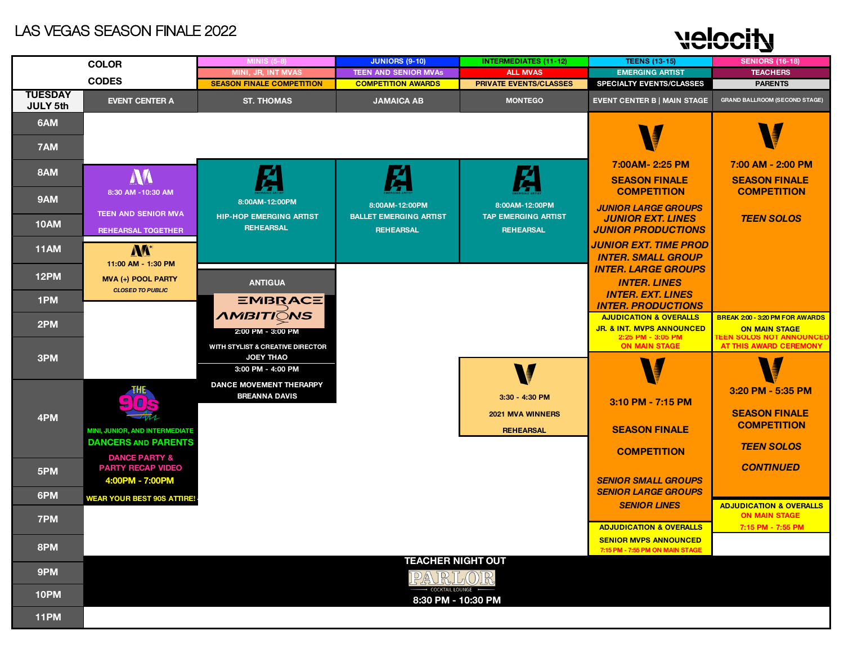# velocity

|                 | <b>COLOR</b>                                            | <b>MINIS (5-8)</b>                                     | <b>JUNIORS (9-10)</b>                             | <b>INTERMEDIATES (11-12)</b>                   | <b>TEENS (13-15)</b>                                               | <b>SENIORS (16-18)</b>                                     |
|-----------------|---------------------------------------------------------|--------------------------------------------------------|---------------------------------------------------|------------------------------------------------|--------------------------------------------------------------------|------------------------------------------------------------|
|                 | <b>CODES</b>                                            | MINI, JR, INT MVAS                                     | <b>TEEN AND SENIOR MVAs</b>                       | <b>ALL MVAS</b>                                | <b>EMERGING ARTIST</b>                                             | <b>TEACHERS</b>                                            |
| <b>TUESDAY</b>  |                                                         | <b>SEASON FINALE COMPETITION</b>                       | <b>COMPETITION AWARDS</b>                         | <b>PRIVATE EVENTS/CLASSES</b>                  | <b>SPECIALTY EVENTS/CLASSES</b>                                    | <b>PARENTS</b>                                             |
| <b>JULY 5th</b> | <b>EVENT CENTER A</b>                                   | <b>ST. THOMAS</b>                                      | <b>JAMAICA AB</b>                                 | <b>MONTEGO</b>                                 | <b>EVENT CENTER B   MAIN STAGE</b>                                 | <b>GRAND BALLROOM (SECOND STAGE)</b>                       |
| 6AM<br>7AM      |                                                         |                                                        |                                                   |                                                |                                                                    |                                                            |
|                 |                                                         |                                                        |                                                   |                                                | 7:00AM-2:25 PM                                                     | 7:00 AM - 2:00 PM                                          |
| 8AM             | W                                                       | Æ                                                      | 戶                                                 | Ź                                              | <b>SEASON FINALE</b>                                               | <b>SEASON FINALE</b>                                       |
| 9AM             | 8:30 AM -10:30 AM                                       | 8:00AM-12:00PM                                         | 8:00AM-12:00PM                                    | 8:00AM-12:00PM                                 | <b>COMPETITION</b><br><b>JUNIOR LARGE GROUPS</b>                   | <b>COMPETITION</b>                                         |
| <b>10AM</b>     | <b>TEEN AND SENIOR MVA</b><br><b>REHEARSAL TOGETHER</b> | <b>HIP-HOP EMERGING ARTIST</b><br><b>REHEARSAL</b>     | <b>BALLET EMERGING ARTIST</b><br><b>REHEARSAL</b> | <b>TAP EMERGING ARTIST</b><br><b>REHEARSAL</b> | <b>JUNIOR EXT. LINES</b><br><b>JUNIOR PRODUCTIONS</b>              | <b>TEEN SOLOS</b>                                          |
| <b>11AM</b>     | <b>NA</b> <sup>+</sup>                                  |                                                        |                                                   |                                                | <b>JUNIOR EXT. TIME PROD</b><br><b>INTER. SMALL GROUP</b>          |                                                            |
| 12PM            | 11:00 AM - 1:30 PM<br>MVA (+) POOL PARTY                | <b>ANTIGUA</b>                                         |                                                   |                                                | <b>INTER. LARGE GROUPS</b><br><b>INTER. LINES</b>                  |                                                            |
| 1PM             | <b>CLOSED TO PUBLIC</b>                                 | <b>EMBRACE</b>                                         |                                                   |                                                | <b>INTER. EXT. LINES</b><br><b>INTER. PRODUCTIONS</b>              |                                                            |
|                 |                                                         | <i><b>AMBITIONS</b></i>                                |                                                   |                                                | <b>AJUDICATION &amp; OVERALLS</b>                                  | BREAK 2:00 - 3:20 PM FOR AWARDS                            |
| 2PM             |                                                         | 2:00 PM - 3:00 PM                                      |                                                   |                                                | <b>JR. &amp; INT. MVPS ANNOUNCED</b><br>2:25 PM - 3:05 PM          | <b>ON MAIN STAGE</b><br><b>TEEN SOLOS NOT ANNOUNCED</b>    |
| 3PM             |                                                         | WITH STYLIST & CREATIVE DIRECTOR<br><b>JOEY THAO</b>   |                                                   |                                                | <b>ON MAIN STAGE</b>                                               | AT THIS AWARD CEREMONY                                     |
|                 |                                                         | 3:00 PM - 4:00 PM                                      |                                                   |                                                |                                                                    |                                                            |
|                 |                                                         | <b>DANCE MOVEMENT THERARPY</b><br><b>BREANNA DAVIS</b> |                                                   | 3:30 - 4:30 PM                                 | 3:10 PM - 7:15 PM                                                  | 3:20 PM - 5:35 PM                                          |
| 4PM             |                                                         |                                                        |                                                   | 2021 MVA WINNERS                               |                                                                    | <b>SEASON FINALE</b>                                       |
|                 | MINI, JUNIOR, AND INTERMEDIATE                          |                                                        |                                                   | <b>REHEARSAL</b>                               | <b>SEASON FINALE</b>                                               | <b>COMPETITION</b>                                         |
|                 | <b>DANCERS AND PARENTS</b><br><b>DANCE PARTY &amp;</b>  |                                                        |                                                   |                                                | <b>COMPETITION</b>                                                 | <b>TEEN SOLOS</b>                                          |
| 5PM             | <b>PARTY RECAP VIDEO</b><br>4:00PM - 7:00PM             |                                                        |                                                   |                                                | <b>SENIOR SMALL GROUPS</b>                                         | <b>CONTINUED</b>                                           |
| 6PM             | <b>WEAR YOUR BEST 90S ATTIRE!</b>                       |                                                        |                                                   |                                                | <b>SENIOR LARGE GROUPS</b>                                         |                                                            |
| 7PM             |                                                         |                                                        |                                                   |                                                | <b>SENIOR LINES</b>                                                | <b>ADJUDICATION &amp; OVERALLS</b><br><b>ON MAIN STAGE</b> |
|                 |                                                         |                                                        |                                                   |                                                | <b>ADJUDICATION &amp; OVERALLS</b><br><b>SENIOR MVPS ANNOUNCED</b> | 7:15 PM - 7:55 PM                                          |
| 8PM             |                                                         |                                                        |                                                   |                                                | 7:15 PM - 7:55 PM ON MAIN STAGE                                    |                                                            |
| 9PM             |                                                         |                                                        | <b>TEACHER NIGHT OUT</b><br>PARLO                 | R,                                             |                                                                    |                                                            |
| 10PM            |                                                         |                                                        | COCKTAIL LOUNGE -<br>8:30 PM - 10:30 PM           |                                                |                                                                    |                                                            |
| 11PM            |                                                         |                                                        |                                                   |                                                |                                                                    |                                                            |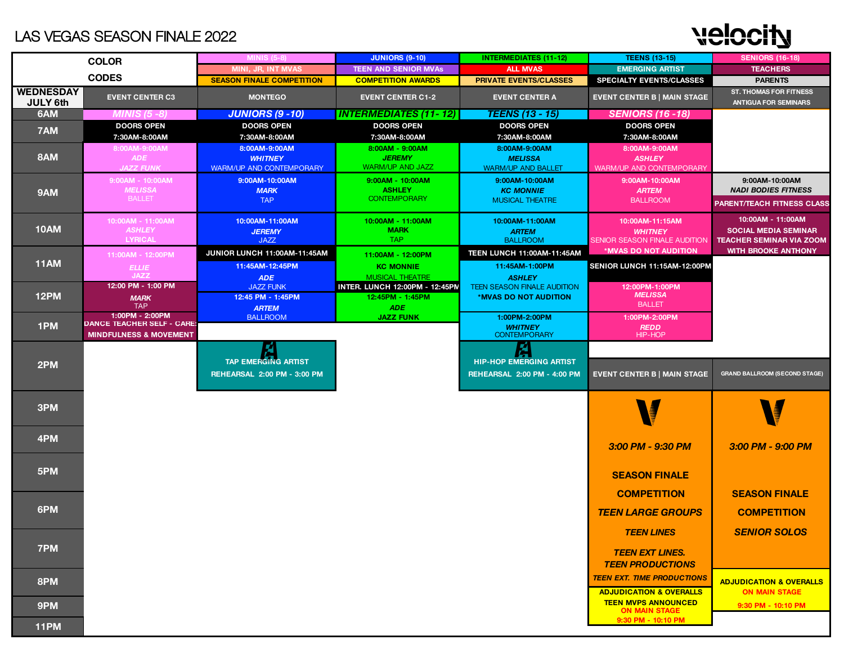# **Nelocity**

|                                     | <b>COLOR</b>                       | <b>MINIS (5-8)</b>                    | <b>JUNIORS (9-10)</b>                                     | <b>INTERMEDIATES (11-12)</b>                                | <b>TEENS (13-15)</b>                       | <b>SENIORS (16-18)</b>                                        |
|-------------------------------------|------------------------------------|---------------------------------------|-----------------------------------------------------------|-------------------------------------------------------------|--------------------------------------------|---------------------------------------------------------------|
|                                     |                                    | MINI, JR, INT MVAS                    | <b>TEEN AND SENIOR MVAS</b>                               | <b>ALL MVAS</b>                                             | <b>EMERGING ARTIST</b>                     | <b>TEACHERS</b>                                               |
|                                     | <b>CODES</b>                       | <b>SEASON FINALE COMPETITION</b>      | <b>COMPETITION AWARDS</b>                                 | <b>PRIVATE EVENTS/CLASSES</b>                               | <b>SPECIALTY EVENTS/CLASSES</b>            | <b>PARENTS</b>                                                |
| <b>WEDNESDAY</b><br><b>JULY 6th</b> | <b>EVENT CENTER C3</b>             | <b>MONTEGO</b>                        | <b>EVENT CENTER C1-2</b>                                  | <b>EVENT CENTER A</b>                                       | <b>EVENT CENTER B   MAIN STAGE</b>         | <b>ST. THOMAS FOR FITNESS</b><br><b>ANTIGUA FOR SEMINARS</b>  |
| 6AM                                 | <b>MINIS (5 -8)</b>                | <b>JUNIORS (9 - 10)</b>               | <b>INTERMEDIATES (11-12)</b>                              | <b>TEENS (13 - 15)</b>                                      | <b>SENIORS (16 - 18)</b>                   |                                                               |
| 7AM                                 | <b>DOORS OPEN</b>                  | <b>DOORS OPEN</b>                     | <b>DOORS OPEN</b>                                         | <b>DOORS OPEN</b>                                           | <b>DOORS OPEN</b>                          |                                                               |
|                                     | 7:30AM-8:00AM                      | 7:30AM-8:00AM                         | 7:30AM-8:00AM                                             | 7:30AM-8:00AM                                               | 7:30AM-8:00AM                              |                                                               |
|                                     | 8:00AM-9:00AM                      | 8:00AM-9:00AM                         | 8:00AM - 9:00AM                                           | 8:00AM-9:00AM                                               | 8:00AM-9:00AM                              |                                                               |
| 8AM                                 | <b>ADE</b>                         | <b>WHITNEY</b>                        | <b>JEREMY</b><br><b>WARM/UP AND JAZZ</b>                  | <b>MELISSA</b>                                              | <b>ASHLEY</b>                              |                                                               |
|                                     | <b>JAZZ FUNK</b>                   | <b>WARM/UP AND CONTEMPORARY</b>       |                                                           | <b>WARM/UP AND BALLET</b>                                   | <b>WARM/UP AND CONTEMPORARY</b>            |                                                               |
|                                     | 9:00AM - 10:00AM<br><b>MELISSA</b> | 9:00AM-10:00AM<br><b>MARK</b>         | 9:00AM - 10:00AM<br><b>ASHLEY</b>                         | 9:00AM-10:00AM<br><b>KC MONNIE</b>                          | 9:00AM-10:00AM<br><b>ARTEM</b>             | 9:00AM-10:00AM<br><b>NADI BODIES FITNESS</b>                  |
| 9AM                                 | <b>BALLET</b>                      | <b>TAP</b>                            | <b>CONTEMPORARY</b>                                       | <b>MUSICAL THEATRE</b>                                      | <b>BALLROOM</b>                            | <b>PARENT/TEACH FITNESS CLASS</b>                             |
|                                     |                                    |                                       |                                                           |                                                             |                                            |                                                               |
|                                     | 10:00AM - 11:00AM                  | 10:00AM-11:00AM                       | 10:00AM - 11:00AM                                         | 10:00AM-11:00AM                                             | 10:00AM-11:15AM                            | 10:00AM - 11:00AM                                             |
| 10AM                                | <b>ASHLEY</b>                      | <b>JEREMY</b>                         | <b>MARK</b>                                               | <b>ARTEM</b>                                                | <b>WHITNEY</b>                             | <b>SOCIAL MEDIA SEMINAR</b>                                   |
|                                     | <b>LYRICAL</b>                     | <b>JAZZ</b>                           | TAP                                                       | <b>BALLROOM</b>                                             | SENIOR SEASON FINALE AUDITION              | <b>TEACHER SEMINAR VIA ZOOM</b><br><b>WITH BROOKE ANTHONY</b> |
|                                     | 11:00AM - 12:00PM                  | JUNIOR LUNCH 11:00AM-11:45AM          | 11:00AM - 12:00PM                                         | <b>TEEN LUNCH 11:00AM-11:45AM</b>                           | *MVAS DO NOT AUDITION                      |                                                               |
| <b>11AM</b>                         | <b>ELLIE</b>                       | 11:45AM-12:45PM                       | <b>KC MONNIE</b>                                          | 11:45AM-1:00PM                                              | SENIOR LUNCH 11:15AM-12:00PM               |                                                               |
|                                     | <b>JAZZ</b><br>12:00 PM - 1:00 PM  | <b>ADE</b>                            | <b>MUSICAL THEATRE</b>                                    | <b>ASHLEY</b>                                               |                                            |                                                               |
| <b>12PM</b>                         | <b>MARK</b>                        | <b>JAZZ FUNK</b><br>12:45 PM - 1:45PM | <b>INTER. LUNCH 12:00PM - 12:45PM</b><br>12:45PM - 1:45PM | <b>TEEN SEASON FINALE AUDITION</b><br>*MVAS DO NOT AUDITION | 12:00PM-1:00PM<br><b>MELISSA</b>           |                                                               |
|                                     | <b>TAP</b>                         | <b>ARTEM</b>                          | <b>ADE</b>                                                |                                                             | <b>BALLET</b>                              |                                                               |
|                                     | 1:00PM - 2:00PM                    | <b>BALLROOM</b>                       | <b>JAZZ FUNK</b>                                          | 1:00PM-2:00PM                                               | 1:00PM-2:00PM                              |                                                               |
| 1PM                                 | <b>DANCE TEACHER SELF - CARE:</b>  |                                       |                                                           | <b>WHITNEY</b>                                              | <b>REDD</b>                                |                                                               |
|                                     | <b>MINDFULNESS &amp; MOVEMENT</b>  |                                       |                                                           | <b>CONTEMPORARY</b>                                         | <b>HIP-HOP</b>                             |                                                               |
|                                     |                                    |                                       |                                                           |                                                             |                                            |                                                               |
| 2PM                                 |                                    | TAP EMERGING ARTIST                   |                                                           | <b>HIP-HOP EMERGING ARTIST</b>                              |                                            |                                                               |
|                                     |                                    | REHEARSAL 2:00 PM - 3:00 PM           |                                                           | REHEARSAL 2:00 PM - 4:00 PM                                 | <b>EVENT CENTER B   MAIN STAGE</b>         | <b>GRAND BALLROOM (SECOND STAGE)</b>                          |
|                                     |                                    |                                       |                                                           |                                                             |                                            |                                                               |
|                                     |                                    |                                       |                                                           |                                                             |                                            |                                                               |
| 3PM                                 |                                    |                                       |                                                           |                                                             |                                            |                                                               |
|                                     |                                    |                                       |                                                           |                                                             |                                            |                                                               |
| 4PM                                 |                                    |                                       |                                                           |                                                             |                                            |                                                               |
|                                     |                                    |                                       |                                                           |                                                             | 3:00 PM - 9:30 PM                          | 3:00 PM - 9:00 PM                                             |
|                                     |                                    |                                       |                                                           |                                                             |                                            |                                                               |
| 5PM                                 |                                    |                                       |                                                           |                                                             | <b>SEASON FINALE</b>                       |                                                               |
|                                     |                                    |                                       |                                                           |                                                             |                                            |                                                               |
|                                     |                                    |                                       |                                                           |                                                             | <b>COMPETITION</b>                         | <b>SEASON FINALE</b>                                          |
| 6PM                                 |                                    |                                       |                                                           |                                                             | <b>TEEN LARGE GROUPS</b>                   | <b>COMPETITION</b>                                            |
|                                     |                                    |                                       |                                                           |                                                             |                                            |                                                               |
|                                     |                                    |                                       |                                                           |                                                             | <b>TEEN LINES</b>                          | <b>SENIOR SOLOS</b>                                           |
| 7PM                                 |                                    |                                       |                                                           |                                                             |                                            |                                                               |
|                                     |                                    |                                       |                                                           |                                                             | <b>TEEN EXT LINES.</b>                     |                                                               |
|                                     |                                    |                                       |                                                           |                                                             | <b>TEEN PRODUCTIONS</b>                    |                                                               |
| 8PM                                 |                                    |                                       |                                                           |                                                             | <b>TEEN EXT. TIME PRODUCTIONS</b>          | <b>ADJUDICATION &amp; OVERALLS</b>                            |
|                                     |                                    |                                       |                                                           |                                                             | <b>ADJUDICATION &amp; OVERALLS</b>         | <b>ON MAIN STAGE</b>                                          |
| 9PM                                 |                                    |                                       |                                                           |                                                             | <b>TEEN MVPS ANNOUNCED</b>                 | 9:30 PM - 10:10 PM                                            |
|                                     |                                    |                                       |                                                           |                                                             | <b>ON MAIN STAGE</b><br>9:30 PM - 10:10 PM |                                                               |
| 11PM                                |                                    |                                       |                                                           |                                                             |                                            |                                                               |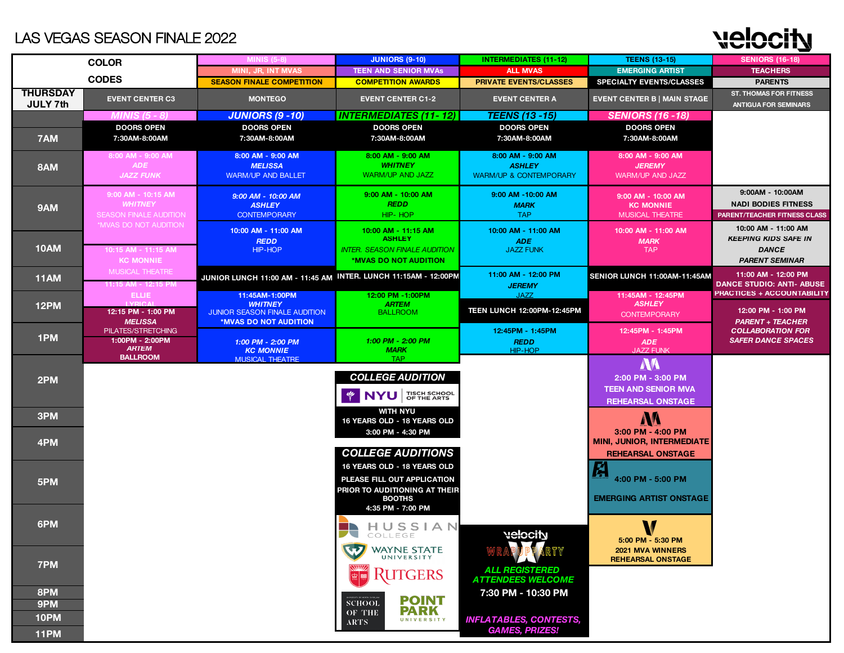# NAMORIA

|                             | <b>COLOR</b>                                                          | <b>MINIS (5-8)</b>                                                                         | <b>JUNIORS (9-10)</b>                                                                                                                                                | <b>INTERMEDIATES (11-12)</b>                                                 | <b>TEENS (13-15)</b>                                                                     | <b>SENIORS (16-18)</b>                                                                      |
|-----------------------------|-----------------------------------------------------------------------|--------------------------------------------------------------------------------------------|----------------------------------------------------------------------------------------------------------------------------------------------------------------------|------------------------------------------------------------------------------|------------------------------------------------------------------------------------------|---------------------------------------------------------------------------------------------|
|                             |                                                                       | <b>MINI, JR, INT MVAS</b>                                                                  | <b>TEEN AND SENIOR MVAS</b>                                                                                                                                          | <b>ALL MVAS</b>                                                              | <b>EMERGING ARTIST</b>                                                                   | <b>TEACHERS</b>                                                                             |
|                             | <b>CODES</b>                                                          | <b>SEASON FINALE COMPETITION</b>                                                           | <b>COMPETITION AWARDS</b>                                                                                                                                            | <b>PRIVATE EVENTS/CLASSES</b>                                                | <b>SPECIALTY EVENTS/CLASSES</b>                                                          | <b>PARENTS</b>                                                                              |
| <b>THURSDAY</b><br>JULY 7th | <b>EVENT CENTER C3</b>                                                | <b>MONTEGO</b>                                                                             | <b>EVENT CENTER C1-2</b>                                                                                                                                             | <b>EVENT CENTER A</b>                                                        | <b>EVENT CENTER B   MAIN STAGE</b>                                                       | <b>ST. THOMAS FOR FITNESS</b><br><b>ANTIGUA FOR SEMINARS</b>                                |
|                             | MINIS (5 - 8)                                                         | <b>JUNIORS (9 - 10)</b>                                                                    | <b>INTERMEDIATES (11-12)</b>                                                                                                                                         | <i><b>TEENS (13 -15)</b></i>                                                 | <b>SENIORS (16 - 18)</b>                                                                 |                                                                                             |
| 7AM                         | <b>DOORS OPEN</b><br>7:30AM-8:00AM                                    | <b>DOORS OPEN</b><br>7:30AM-8:00AM                                                         | <b>DOORS OPEN</b><br>7:30AM-8:00AM                                                                                                                                   | <b>DOORS OPEN</b><br>7:30AM-8:00AM                                           | <b>DOORS OPEN</b><br>7:30AM-8:00AM                                                       |                                                                                             |
| 8AM                         | 8:00 AM - 9:00 AM<br><b>ADE</b><br><b>JAZZ FUNK</b>                   | 8:00 AM - 9:00 AM<br><b>MELISSA</b><br><b>WARM/UP AND BALLET</b>                           | 8:00 AM - 9:00 AM<br><b>WHITNEY</b><br><b>WARM/UP AND JAZZ</b>                                                                                                       | 8:00 AM - 9:00 AM<br><b>ASHLEY</b><br><b>WARM/UP &amp; CONTEMPORARY</b>      | 8:00 AM - 9:00 AM<br><b>JEREMY</b><br><b>WARM/UP AND JAZZ</b>                            |                                                                                             |
| 9AM                         | 9:00 AM - 10:15 AM<br><b>WHITNEY</b><br><b>SEASON FINALE AUDITION</b> | 9:00 AM - 10:00 AM<br><b>ASHLEY</b><br><b>CONTEMPORARY</b>                                 | 9:00 AM - 10:00 AM<br><b>REDD</b><br>HIP-HOP                                                                                                                         | 9:00 AM -10:00 AM<br><b>MARK</b><br><b>TAP</b>                               | 9:00 AM - 10:00 AM<br><b>KC MONNIE</b><br><b>MUSICAL THEATRE</b>                         | 9:00AM - 10:00AM<br><b>NADI BODIES FITNESS</b><br>PARENT/TEACHER FITNESS CLASS              |
| <b>10AM</b>                 | *MVAS DO NOT AUDITION<br>10:15 AM - 11:15 AM<br><b>KC MONNIE</b>      | 10:00 AM - 11:00 AM<br><b>REDD</b><br>HIP-HOP                                              | 10:00 AM - 11:15 AM<br><b>ASHLEY</b><br><b>INTER. SEASON FINALE AUDITION</b><br>*MVAS DO NOT AUDITION                                                                | 10:00 AM - 11:00 AM<br><b>ADE</b><br><b>JAZZ FUNK</b>                        | 10:00 AM - 11:00 AM<br><b>MARK</b><br><b>TAP</b>                                         | 10:00 AM - 11:00 AM<br><b>KEEPING KIDS SAFE IN</b><br><b>DANCE</b><br><b>PARENT SEMINAR</b> |
| <b>11AM</b>                 | <b>MUSICAL THEATRE</b><br>11:15 AM - 12:15 PM                         | JUNIOR LUNCH 11:00 AM - 11:45 AM INTER. LUNCH 11:15AM - 12:00PM                            |                                                                                                                                                                      | 11:00 AM - 12:00 PM<br><b>JEREMY</b>                                         | SENIOR LUNCH 11:00AM-11:45AM                                                             | 11:00 AM - 12:00 PM<br><b>DANCE STUDIO: ANTI- ABUSE</b>                                     |
| <b>12PM</b>                 | <b>ELLIE</b><br>12:15 PM - 1:00 PM<br><b>MELISSA</b>                  | 11:45AM-1:00PM<br><b>WHITNEY</b><br>JUNIOR SEASON FINALE AUDITION<br>*MVAS DO NOT AUDITION | 12:00 PM -1:00PM<br><b>ARTEM</b><br><b>BALLROOM</b>                                                                                                                  | <b>JAZZ</b><br><b>TEEN LUNCH 12:00PM-12:45PM</b>                             | 11:45AM - 12:45PM<br><b>ASHLEY</b><br><b>CONTEMPORARY</b>                                | PRACTICES + ACCOUNTABILITY<br>12:00 PM - 1:00 PM<br><b>PARENT + TEACHER</b>                 |
| 1PM                         | PILATES/STRETCHING<br>1:00PM - 2:00PM<br><b>ARTEM</b>                 | 1:00 PM - 2:00 PM<br><b>KC MONNIE</b>                                                      | 1:00 PM - 2:00 PM<br><b>MARK</b>                                                                                                                                     | 12:45PM - 1:45PM<br><b>REDD</b><br>HIP-HOP                                   | 12:45PM - 1:45PM<br><b>ADE</b><br><b>JAZZ FUNK</b>                                       | <b>COLLABORATION FOR</b><br><b>SAFER DANCE SPACES</b>                                       |
| 2PM                         | <b>BALLROOM</b>                                                       | <b>MUSICAL THEATRE</b>                                                                     | <b>TAP</b><br><b>COLLEGE AUDITION</b><br><b>NYU OF THE ARTS</b>                                                                                                      |                                                                              | <b>NA</b><br>2:00 PM - 3:00 PM<br><b>TEEN AND SENIOR MVA</b><br><b>REHEARSAL ONSTAGE</b> |                                                                                             |
| 3PM                         |                                                                       |                                                                                            | <b>WITH NYU</b><br>16 YEARS OLD - 18 YEARS OLD                                                                                                                       |                                                                              | M                                                                                        |                                                                                             |
| 4PM                         |                                                                       |                                                                                            | 3:00 PM - 4:30 PM                                                                                                                                                    |                                                                              | 3:00 PM - 4:00 PM<br><b>MINI, JUNIOR, INTERMEDIATE</b>                                   |                                                                                             |
| 5PM                         |                                                                       |                                                                                            | <b>COLLEGE AUDITIONS</b><br><b>16 YEARS OLD - 18 YEARS OLD</b><br>PLEASE FILL OUT APPLICATION<br>PRIOR TO AUDITIONING AT THEIR<br><b>BOOTHS</b><br>4:35 PM - 7:00 PM |                                                                              | <b>REHEARSAL ONSTAGE</b><br>A<br>4:00 PM - 5:00 PM<br><b>EMERGING ARTIST ONSTAGE</b>     |                                                                                             |
| 6PM                         |                                                                       |                                                                                            | HUSSIAN<br>COLLEGE                                                                                                                                                   | <b>Nelocity</b>                                                              | V<br>W<br>5:00 PM - 5:30 PM                                                              |                                                                                             |
| 7PM                         |                                                                       |                                                                                            | w<br>WAYNE STATE<br><b>RUTGERS</b>                                                                                                                                   | <b>ALL REGISTERED</b><br><b>ATTENDEES WELCOME</b>                            | <b>2021 MVA WINNERS</b><br><b>REHEARSAL ONSTAGE</b>                                      |                                                                                             |
| 8PM<br>9PM<br>10PM<br>11PM  |                                                                       |                                                                                            | <b>POINT</b><br><b>SCHOOL</b><br><b>PARK</b><br>OF THE<br>UNIVERSITY<br>ARTS:                                                                                        | 7:30 PM - 10:30 PM<br><b>INFLATABLES, CONTESTS,</b><br><b>GAMES, PRIZES!</b> |                                                                                          |                                                                                             |
|                             |                                                                       |                                                                                            |                                                                                                                                                                      |                                                                              |                                                                                          |                                                                                             |